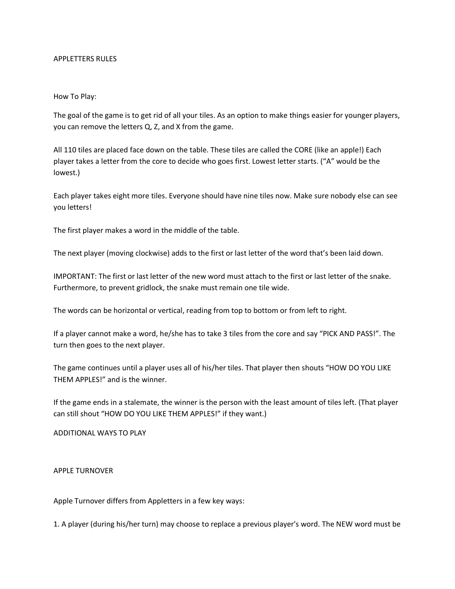## APPLETTERS RULES

## How To Play:

The goal of the game is to get rid of all your tiles. As an option to make things easier for younger players, you can remove the letters Q, Z, and X from the game.

All 110 tiles are placed face down on the table. These tiles are called the CORE (like an apple!) Each player takes a letter from the core to decide who goes first. Lowest letter starts. ("A" would be the lowest.)

Each player takes eight more tiles. Everyone should have nine tiles now. Make sure nobody else can see you letters!

The first player makes a word in the middle of the table.

The next player (moving clockwise) adds to the first or last letter of the word that's been laid down.

IMPORTANT: The first or last letter of the new word must attach to the first or last letter of the snake. Furthermore, to prevent gridlock, the snake must remain one tile wide.

The words can be horizontal or vertical, reading from top to bottom or from left to right.

If a player cannot make a word, he/she has to take 3 tiles from the core and say "PICK AND PASS!". The turn then goes to the next player.

The game continues until a player uses all of his/her tiles. That player then shouts "HOW DO YOU LIKE THEM APPLES!" and is the winner.

If the game ends in a stalemate, the winner is the person with the least amount of tiles left. (That player can still shout "HOW DO YOU LIKE THEM APPLES!" if they want.)

ADDITIONAL WAYS TO PLAY

APPLE TURNOVER

Apple Turnover differs from Appletters in a few key ways:

1. A player (during his/her turn) may choose to replace a previous player's word. The NEW word must be